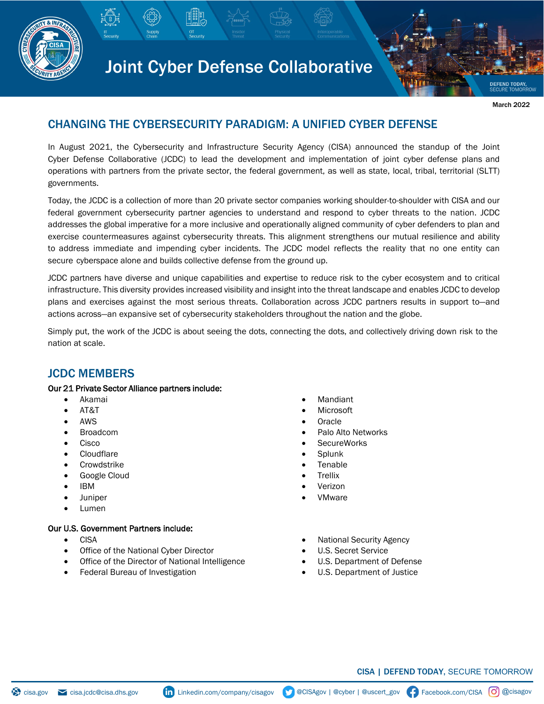

# Joint Cyber Defense Collaborative

**DEFEND TODAY** March 2022

# CHANGING THE CYBERSECURITY PARADIGM: A UNIFIED CYBER DEFENSE

In August 2021, the Cybersecurity and Infrastructure Security Agency (CISA) announced the standup of the Joint Cyber Defense Collaborative (JCDC) to lead the development and implementation of joint cyber defense plans and operations with partners from the private sector, the federal government, as well as state, local, tribal, territorial (SLTT) governments.

Today, the JCDC is a collection of more than 20 private sector companies working shoulder-to-shoulder with CISA and our federal government cybersecurity partner agencies to understand and respond to cyber threats to the nation. JCDC addresses the global imperative for a more inclusive and operationally aligned community of cyber defenders to plan and exercise countermeasures against cybersecurity threats. This alignment strengthens our mutual resilience and ability to address immediate and impending cyber incidents. The JCDC model reflects the reality that no one entity can secure cyberspace alone and builds collective defense from the ground up.

JCDC partners have diverse and unique capabilities and expertise to reduce risk to the cyber ecosystem and to critical infrastructure. This diversity provides increased visibility and insight into the threat landscape and enables JCDC to develop plans and exercises against the most serious threats. Collaboration across JCDC partners results in support to—and actions across—an expansive set of cybersecurity stakeholders throughout the nation and the globe.

Simply put, the work of the JCDC is about seeing the dots, connecting the dots, and collectively driving down risk to the nation at scale.

## JCDC MEMBERS

#### Our 21 Private Sector Alliance partners include:

- Akamai
- AT&T
- AWS
- Broadcom
- Cisco
- **Cloudflare**
- **Crowdstrike**
- Google Cloud
- IBM
- Juniper
- Lumen

#### Our U.S. Government Partners include:

- CISA
- Office of the National Cyber Director
- Office of the Director of National Intelligence
- Federal Bureau of Investigation
- **Mandiant**
- **Microsoft**
- **Oracle**
- Palo Alto Networks
- **SecureWorks**
- **Splunk**
- **Tenable**
- **Trellix**
- Verizon
- VMware
- National Security Agency
- U.S. Secret Service
- U.S. Department of Defense
- U.S. Department of Justice

Facebook.com/CISA [O] @cisagov